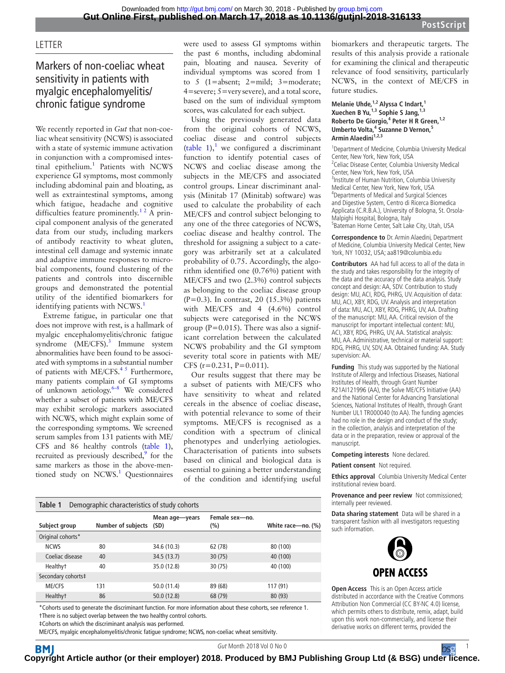### **LETTER**

## Markers of non-coeliac wheat sensitivity in patients with myalgic encephalomyelitis/ chronic fatigue syndrome

We recently reported in *Gut* that non-coeliac wheat sensitivity (NCWS) is associated with a state of systemic immune activation in conjunction with a compromised intes-tinal epithelium.<sup>[1](#page-1-0)</sup> Patients with NCWS experience GI symptoms, most commonly including abdominal pain and bloating, as well as extraintestinal symptoms, among which fatigue, headache and cognitive difficulties feature prominently.<sup>12</sup> A principal component analysis of the generated data from our study, including markers of antibody reactivity to wheat gluten, intestinal cell damage and systemic innate and adaptive immune responses to microbial components, found clustering of the patients and controls into discernible groups and demonstrated the potential utility of the identified biomarkers for identifying patients with NCWS.<sup>1</sup>

Extreme fatigue, in particular one that does not improve with rest, is a hallmark of myalgic encephalomyelitis/chronic fatigue syndrome (ME/CFS).<sup>[3](#page-1-1)</sup> Immune system abnormalities have been found to be associated with symptoms in a substantial number of patients with ME/CFS.<sup>45</sup> Furthermore, many patients complain of GI symptoms of unknown aetiology. $6-8$  We considered whether a subset of patients with ME/CFS may exhibit serologic markers associated with NCWS, which might explain some of the corresponding symptoms. We screened serum samples from 131 patients with ME/ CFS and 86 healthy controls [\(table](#page-0-0) 1), recruited as previously described, $9$  for the same markers as those in the above-men-tioned study on NCWS.<sup>[1](#page-1-0)</sup> Questionnaires

were used to assess GI symptoms within the past 6 months, including abdominal pain, bloating and nausea. Severity of individual symptoms was scored from 1 to 5 (1=absent; 2=mild; 3=moderate; 4=severe; 5=verysevere), and a total score, based on the sum of individual symptom scores, was calculated for each subject.

Using the previously generated data from the original cohorts of NCWS, coeliac disease and control subjects ([table](#page-0-0) [1](#page-1-0)),<sup>1</sup> we configured a discriminant function to identify potential cases of NCWS and coeliac disease among the subjects in the ME/CFS and associated control groups. Linear discriminant analysis (Minitab 17 (Minitab) software) was used to calculate the probability of each ME/CFS and control subject belonging to any one of the three categories of NCWS, coeliac disease and healthy control. The threshold for assigning a subject to a category was arbitrarily set at a calculated probability of 0.75. Accordingly, the algorithm identified one (0.76%) patient with ME/CFS and two (2.3%) control subjects as belonging to the coeliac disease group (P=0.3). In contrast, 20  $(15.3\%)$  patients with ME/CFS and 4 (4.6%) control subjects were categorised in the NCWS group ( $P=0.015$ ). There was also a significant correlation between the calculated NCWS probability and the GI symptom severity total score in patients with ME/ CFS  $(r=0.231, P=0.011)$ .

Our results suggest that there may be a subset of patients with ME/CFS who have sensitivity to wheat and related cereals in the absence of coeliac disease, with potential relevance to some of their symptoms. ME/CFS is recognised as a condition with a spectrum of clinical phenotypes and underlying aetiologies. Characterisation of patients into subsets based on clinical and biological data is essential to gaining a better understanding of the condition and identifying useful

biomarkers and therapeutic targets. The results of this analysis provide a rationale for examining the clinical and therapeutic relevance of food sensitivity, particularly NCWS, in the context of ME/CFS in future studies.

#### **Melanie Uhde,1,2 Alyssa C Indart,1 Xuechen B Yu,1,3 Sophie S Jang,1,3 Roberto De Giorgio,<sup>4</sup> Peter H R Green,1,2** Umberto Volta,<sup>4</sup> Suzanne D Vernon,<sup>5</sup> Armin Alaedini<sup>1,2,3</sup>

<sup>1</sup> Department of Medicine, Columbia University Medical Center, New York, New York, USA <sup>2</sup> Celiac Disease Center, Columbia University Medical Center, New York, New York, USA <sup>3</sup> Institute of Human Nutrition, Columbia University Medical Center, New York, New York, USA 4 Departments of Medical and Surgical Sciences and Digestive System, Centro di Ricerca Biomedica Applicata (C.R.B.A.), University of Bologna, St. Orsola-Malpighi Hospital, Bologna, Italy 5 Bateman Horne Center, Salt Lake City, Utah, USA

**Correspondence to** Dr. Armin Alaedini, Department of Medicine, Columbia University Medical Center, New York, NY 10032, USA; aa819@columbia.edu

**Contributors** AA had full access to all of the data in the study and takes responsibility for the integrity of the data and the accuracy of the data analysis. Study concept and design: AA, SDV. Contribution to study design: MU, ACI, RDG, PHRG, UV. Acquisition of data: MU, ACI, XBY, RDG, UV. Analysis and interpretation of data: MU, ACI, XBY, RDG, PHRG, UV, AA. Drafting of the manuscript: MU, AA. Critical revision of the manuscript for important intellectual content: MU, ACI, XBY, RDG, PHRG, UV, AA. Statistical analysis: MU, AA. Administrative, technical or material support: RDG, PHRG, UV, SDV, AA. Obtained funding: AA. Study supervision: AA.

**Funding** This study was supported by the National Institute of Allergy and Infectious Diseases, National Institutes of Health, through Grant Number R21AI121996 (AA), the Solve ME/CFS Initiative (AA) and the National Center for Advancing Translational Sciences, National Institutes of Health, through Grant Number UL1 TR000040 (to AA). The funding agencies had no role in the design and conduct of the study; in the collection, analysis and interpretation of the data or in the preparation, review or approval of the manuscript.

**Competing interests** None declared.

**Patient consent** Not required.

**Ethics approval** Columbia University Medical Center institutional review board.

**Provenance and peer review** Not commissioned; internally peer reviewed.

**Data sharing statement** Data will be shared in a transparent fashion with all investigators requesting such information.



**Open Access** This is an Open Access article distributed in accordance with the Creative Commons Attribution Non Commercial (CC BY-NC 4.0) license, which permits others to distribute, remix, adapt, build upon this work non-commercially, and license their derivative works on different terms, provided the

<span id="page-0-0"></span>

| Table 1<br>Demographic characteristics of study cohorts |                           |                        |                       |                    |
|---------------------------------------------------------|---------------------------|------------------------|-----------------------|--------------------|
| Subject group                                           | <b>Number of subjects</b> | Mean age-years<br>(SD) | Female sex-no.<br>(%) | White race-no. (%) |
| Original cohorts*                                       |                           |                        |                       |                    |
| <b>NCWS</b>                                             | 80                        | 34.6 (10.3)            | 62 (78)               | 80 (100)           |
| Coeliac disease                                         | 40                        | 34.5 (13.7)            | 30(75)                | 40 (100)           |
| Healthy <sup>+</sup>                                    | 40                        | 35.0 (12.8)            | 30(75)                | 40 (100)           |
| Secondary cohorts‡                                      |                           |                        |                       |                    |
| <b>ME/CFS</b>                                           | 131                       | 50.0 (11.4)            | 89 (68)               | 117 (91)           |
| Healthy <sup>+</sup>                                    | 86                        | 50.0(12.8)             | 68 (79)               | 80 (93)            |

\*Cohorts used to generate the discriminant function. For more information about these cohorts, see reference [1](#page-1-0). †There is no subject overlap between the two healthy control cohorts.

‡Cohorts on which the discriminant analysis was performed.

ME/CFS, myalgic encephalomyelitis/chronic fatigue syndrome; NCWS, non-coeliac wheat sensitivity.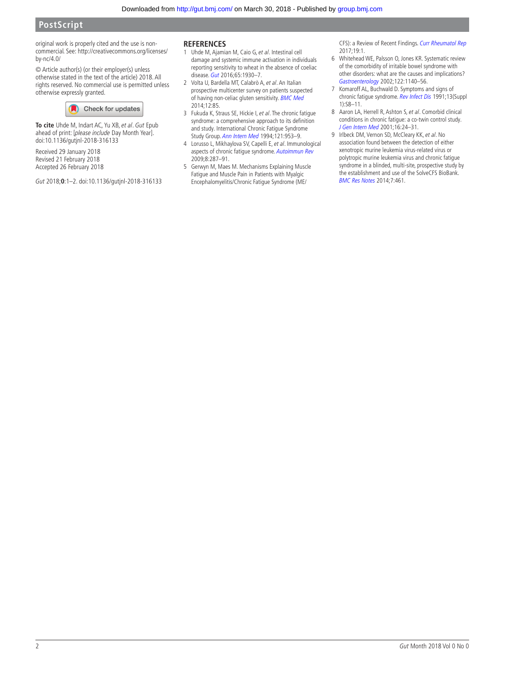### **PostScript**

original work is properly cited and the use is noncommercial. See: [http://creativecommons.org/licenses/](http://creativecommons.org/licenses/by-nc/4.0/) [by-nc/4.0/](http://creativecommons.org/licenses/by-nc/4.0/)

© Article author(s) (or their employer(s) unless otherwise stated in the text of the article) 2018. All rights reserved. No commercial use is permitted unless otherwise expressly granted.



**To cite** Uhde M, Indart AC, Yu XB, et al. Gut Epub ahead of print: [please include Day Month Year]. doi:10.1136/gutjnl-2018-316133

Received 29 January 2018 Revised 21 February 2018 Accepted 26 February 2018

Gut 2018;**0**:1–2. doi:10.1136/gutjnl-2018-316133

#### **References**

- <span id="page-1-0"></span>1 Uhde M, Ajamian M, Caio G, et al. Intestinal cell damage and systemic immune activation in individuals reporting sensitivity to wheat in the absence of coeliac disease. [Gut](http://dx.doi.org/10.1136/gutjnl-2016-311964) 2016;65:1930–7.
- 2 Volta U, Bardella MT, Calabrò A, et al. An Italian prospective multicenter survey on patients suspected of having non-celiac gluten sensitivity. [BMC Med](http://dx.doi.org/10.1186/1741-7015-12-85) 2014;12:85.
- <span id="page-1-1"></span>3 Fukuda K, Straus SE, Hickie I, et al. The chronic fatigue syndrome: a comprehensive approach to its definition and study. International Chronic Fatigue Syndrome Study Group. [Ann Intern Med](http://www.ncbi.nlm.nih.gov/pubmed/7978722) 1994;121:953–9.
- <span id="page-1-2"></span>4 Lorusso L, Mikhaylova SV, Capelli E, et al. Immunological aspects of chronic fatigue syndrome. [Autoimmun Rev](http://dx.doi.org/10.1016/j.autrev.2008.08.003) 2009;8:287–91.
- 5 Gerwyn M, Maes M. Mechanisms Explaining Muscle Fatigue and Muscle Pain in Patients with Myalgic Encephalomyelitis/Chronic Fatigue Syndrome (ME/

CFS): a Review of Recent Findings. [Curr Rheumatol Rep](http://dx.doi.org/10.1007/s11926-017-0628-x) 2017;19:1.

- <span id="page-1-3"></span>6 Whitehead WE, Palsson O, Jones KR. Systematic review of the comorbidity of irritable bowel syndrome with other disorders: what are the causes and implications? [Gastroenterology](http://dx.doi.org/10.1053/gast.2002.32392) 2002;122:1140–56.
- 7 Komaroff AL, Buchwald D. Symptoms and signs of chronic fatigue syndrome. [Rev Infect Dis](http://dx.doi.org/10.1093/clinids/13.Supplement_1.S8) 1991;13(Suppl 1):S8–11.
- 8 Aaron LA, Herrell R, Ashton S, et al. Comorbid clinical conditions in chronic fatigue: a co-twin control study. [J Gen Intern Med](http://www.ncbi.nlm.nih.gov/pubmed/11251747) 2001;16:24–31.
- <span id="page-1-4"></span>9 Irlbeck DM, Vernon SD, McCleary KK, et al. No association found between the detection of either xenotropic murine leukemia virus-related virus or polytropic murine leukemia virus and chronic fatigue syndrome in a blinded, multi-site, prospective study by the establishment and use of the SolveCFS BioBank. [BMC Res Notes](http://dx.doi.org/10.1186/1756-0500-7-461) 2014;7:461.